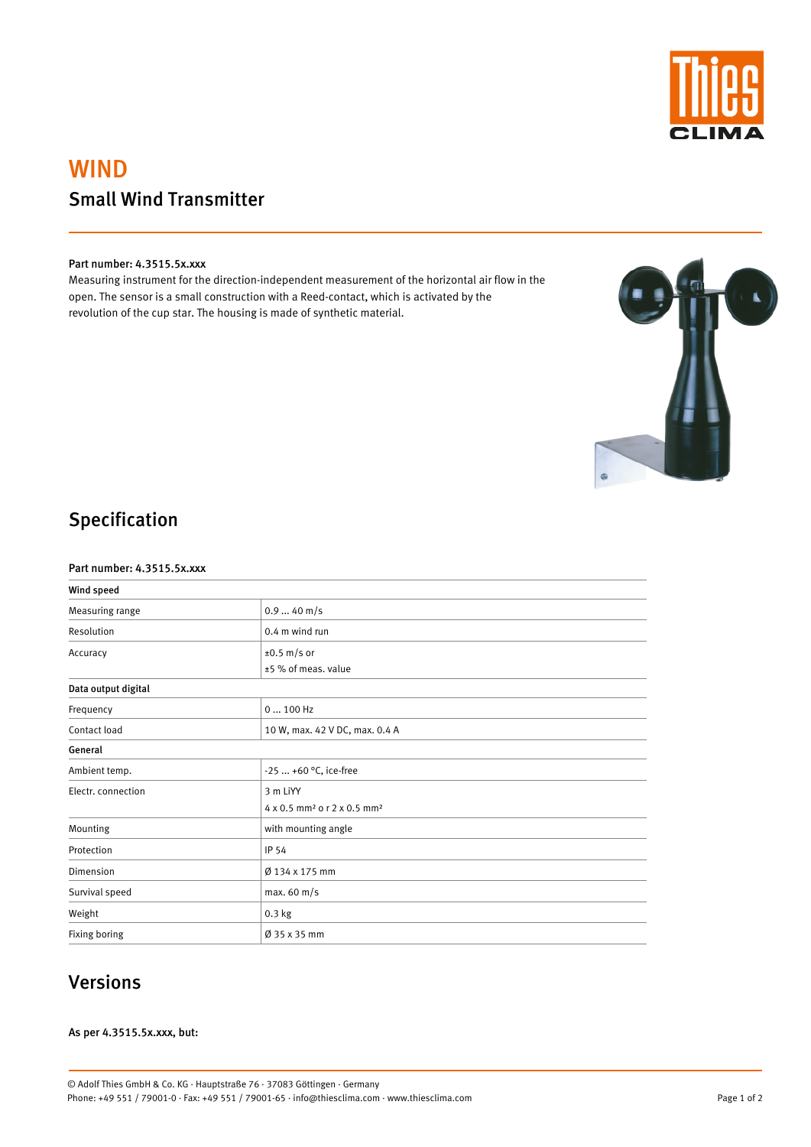

# WIND Small Wind Transmitter

### Part number: 4.3515.5x.xxx

Measuring instrument for the direction-independent measurement of the horizontal air flow in the open. The sensor is a small construction with a Reed-contact, which is activated by the revolution of the cup star. The housing is made of synthetic material.



# Specification

#### Part number: 4.3515.5x.xxx

| Wind speed          |                                                     |  |
|---------------------|-----------------------------------------------------|--|
| Measuring range     | $0.940$ m/s                                         |  |
| Resolution          | 0.4 m wind run                                      |  |
| Accuracy            | $\pm 0.5$ m/s or                                    |  |
|                     | ±5 % of meas. value                                 |  |
| Data output digital |                                                     |  |
| Frequency           | $0100$ Hz                                           |  |
| Contact load        | 10 W, max. 42 V DC, max. 0.4 A                      |  |
| General             |                                                     |  |
| Ambient temp.       | $-25+60$ °C, ice-free                               |  |
| Electr. connection  | 3 m LiYY                                            |  |
|                     | 4 x 0.5 mm <sup>2</sup> o r 2 x 0.5 mm <sup>2</sup> |  |
| Mounting            | with mounting angle                                 |  |
| Protection          | <b>IP 54</b>                                        |  |

| Dimension      | Ø 134 x 175 mm           |
|----------------|--------------------------|
| Survival speed | max.60 m/s               |
| Weight         | $0.3$ kg                 |
| Fixing boring  | $\varnothing$ 35 x 35 mm |

### Versions

### As per 4.3515.5x.xxx, but:

Page 1 of 2

© Adolf Thies GmbH & Co. KG · Hauptstraße 76 · 37083 Göttingen · Germany Phone: +49 551 / 79001-0 · Fax: +49 551 / 79001-65 · info@thiesclima.com · www.thiesclima.com